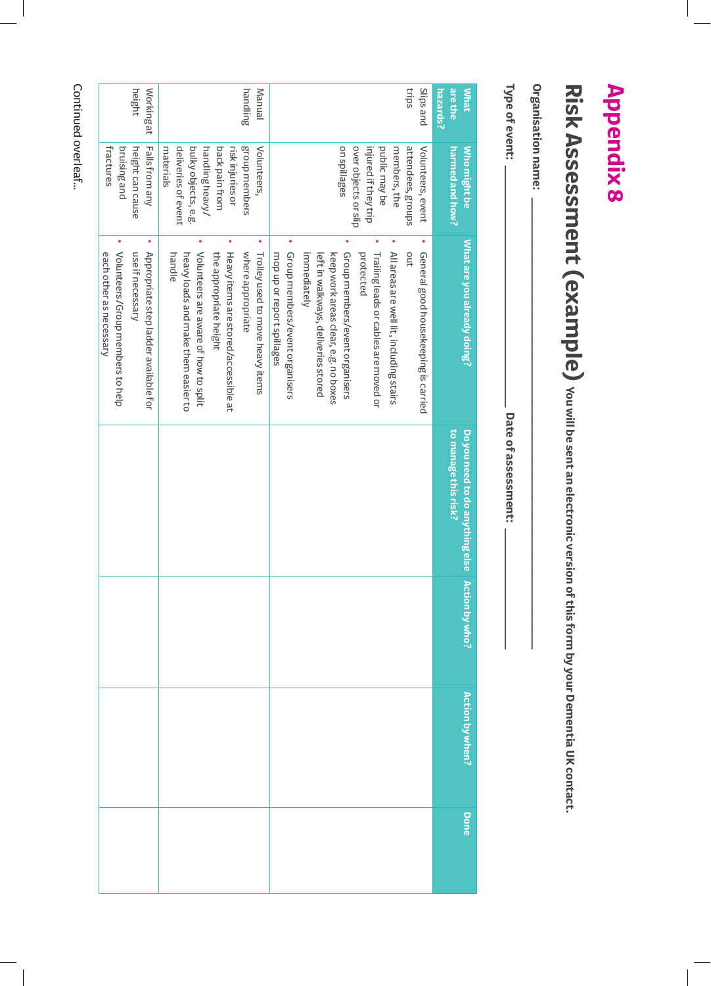## **Appendix 8 Appendix 8**

## **Risk Assessment (example)** you will be sent an electronic version of this form by your Dementia UK contact. **Risk Assessment (example) You will be sent an electronic version of this form by your Dementia UK contact.**

Organisation name: **Organisation name: \_\_\_\_\_\_\_\_\_\_\_\_\_\_\_\_\_\_\_\_\_\_\_\_\_\_\_\_\_\_\_\_\_\_\_\_\_\_\_\_\_\_\_\_\_\_\_\_\_\_\_\_\_\_\_\_\_\_\_\_\_\_\_\_\_\_\_\_\_\_\_**

Type of event:

**Type of event: \_\_\_\_\_\_\_\_\_\_\_\_\_\_\_\_\_\_\_\_\_\_\_\_\_\_\_\_\_\_\_\_\_\_\_\_\_\_ Date of assessment: \_\_\_\_\_\_\_\_\_\_\_\_\_\_\_\_\_\_\_** Date of assessment: -

| height<br>trips<br>Slips and<br>are the<br>Working at<br>handling<br>Manual<br><b>What</b><br>hazards?<br>group members<br>fractures<br>bruising and<br>Falls from any<br>deliveries of event<br>bulky objects, e.g.<br>back pain from<br>on spillages<br>over objects or slip<br>injured if they trip<br>members, the<br>attendees, groups<br>height can cause<br>materials<br>handling heavy/<br>risk injuries or<br>Volunteers,<br>public may be<br>Volunteers, event<br>Who might be<br>harmed and how?<br>۰<br>۰<br>۰<br>What are you already doing?<br>Volunteers/Group members to help<br>Heavy items are stored/accessible at<br>Group members/event organisers<br>each other as necessary<br>use if necessary<br>Appropriate step ladder available for<br>handle<br>Volunteers are aware of how to split<br>the appropriate height<br>where appropriate<br>left in walkways, deliveries stored<br>keep work areas clear, e.g. no boxes<br>All areas are well lit, including stairs<br>out<br>General good housekeeping is carried<br>heavy loads and make them easier to<br>Trolley used to move heavy items<br>mop up or report spillages<br>immediately<br>Group members/event organisers<br>protected<br>Trailing leads or cables are moved or<br>Do you need to do anything else<br>to manage this risk?<br>Action by who?<br><b>Action by when?</b> |  |  |  |      |
|-------------------------------------------------------------------------------------------------------------------------------------------------------------------------------------------------------------------------------------------------------------------------------------------------------------------------------------------------------------------------------------------------------------------------------------------------------------------------------------------------------------------------------------------------------------------------------------------------------------------------------------------------------------------------------------------------------------------------------------------------------------------------------------------------------------------------------------------------------------------------------------------------------------------------------------------------------------------------------------------------------------------------------------------------------------------------------------------------------------------------------------------------------------------------------------------------------------------------------------------------------------------------------------------------------------------------------------------------------------------|--|--|--|------|
|                                                                                                                                                                                                                                                                                                                                                                                                                                                                                                                                                                                                                                                                                                                                                                                                                                                                                                                                                                                                                                                                                                                                                                                                                                                                                                                                                                   |  |  |  | Done |
|                                                                                                                                                                                                                                                                                                                                                                                                                                                                                                                                                                                                                                                                                                                                                                                                                                                                                                                                                                                                                                                                                                                                                                                                                                                                                                                                                                   |  |  |  |      |
|                                                                                                                                                                                                                                                                                                                                                                                                                                                                                                                                                                                                                                                                                                                                                                                                                                                                                                                                                                                                                                                                                                                                                                                                                                                                                                                                                                   |  |  |  |      |
|                                                                                                                                                                                                                                                                                                                                                                                                                                                                                                                                                                                                                                                                                                                                                                                                                                                                                                                                                                                                                                                                                                                                                                                                                                                                                                                                                                   |  |  |  |      |
|                                                                                                                                                                                                                                                                                                                                                                                                                                                                                                                                                                                                                                                                                                                                                                                                                                                                                                                                                                                                                                                                                                                                                                                                                                                                                                                                                                   |  |  |  |      |
|                                                                                                                                                                                                                                                                                                                                                                                                                                                                                                                                                                                                                                                                                                                                                                                                                                                                                                                                                                                                                                                                                                                                                                                                                                                                                                                                                                   |  |  |  |      |
|                                                                                                                                                                                                                                                                                                                                                                                                                                                                                                                                                                                                                                                                                                                                                                                                                                                                                                                                                                                                                                                                                                                                                                                                                                                                                                                                                                   |  |  |  |      |
|                                                                                                                                                                                                                                                                                                                                                                                                                                                                                                                                                                                                                                                                                                                                                                                                                                                                                                                                                                                                                                                                                                                                                                                                                                                                                                                                                                   |  |  |  |      |
|                                                                                                                                                                                                                                                                                                                                                                                                                                                                                                                                                                                                                                                                                                                                                                                                                                                                                                                                                                                                                                                                                                                                                                                                                                                                                                                                                                   |  |  |  |      |
|                                                                                                                                                                                                                                                                                                                                                                                                                                                                                                                                                                                                                                                                                                                                                                                                                                                                                                                                                                                                                                                                                                                                                                                                                                                                                                                                                                   |  |  |  |      |
|                                                                                                                                                                                                                                                                                                                                                                                                                                                                                                                                                                                                                                                                                                                                                                                                                                                                                                                                                                                                                                                                                                                                                                                                                                                                                                                                                                   |  |  |  |      |
|                                                                                                                                                                                                                                                                                                                                                                                                                                                                                                                                                                                                                                                                                                                                                                                                                                                                                                                                                                                                                                                                                                                                                                                                                                                                                                                                                                   |  |  |  |      |

Continued overleaf... Continued overleaf...